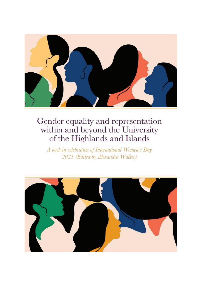

A book in celebration of International Women's Day 2021 (Edited by Alexandra Walker)

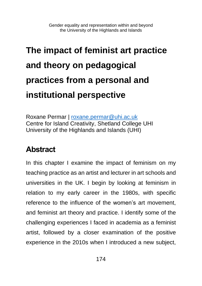## **The impact of feminist art practice and theory on pedagogical practices from a personal and institutional perspective**

Roxane Permar | [roxane.permar@uhi.ac.uk](mailto:roxane.permar@uhi.ac.uk) Centre for Island Creativity, Shetland College UHI University of the Highlands and Islands (UHI)

### **Abstract**

In this chapter I examine the impact of feminism on my teaching practice as an artist and lecturer in art schools and universities in the UK. I begin by looking at feminism in relation to my early career in the 1980s, with specific reference to the influence of the women's art movement, and feminist art theory and practice. I identify some of the challenging experiences I faced in academia as a feminist artist, followed by a closer examination of the positive experience in the 2010s when I introduced a new subject,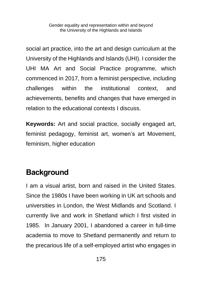social art practice, into the art and design curriculum at the University of the Highlands and Islands (UHI). I consider the UHI MA Art and Social Practice programme, which commenced in 2017, from a feminist perspective, including challenges within the institutional context, and achievements, benefits and changes that have emerged in relation to the educational contexts I discuss.

**Keywords:** Art and social practice, socially engaged art, feminist pedagogy, feminist art, women's art Movement, feminism, higher education

### **Background**

I am a visual artist, born and raised in the United States. Since the 1980s I have been working in UK art schools and universities in London, the West Midlands and Scotland. I currently live and work in Shetland which I first visited in 1985. In January 2001, I abandoned a career in full-time academia to move to Shetland permanently and return to the precarious life of a self-employed artist who engages in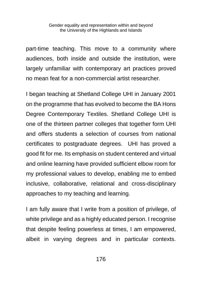part-time teaching. This move to a community where audiences, both inside and outside the institution, were largely unfamiliar with contemporary art practices proved no mean feat for a non-commercial artist researcher.

I began teaching at Shetland College UHI in January 2001 on the programme that has evolved to become the BA Hons Degree Contemporary Textiles. Shetland College UHI is one of the thirteen partner colleges that together form UHI and offers students a selection of courses from national certificates to postgraduate degrees. UHI has proved a good fit for me. Its emphasis on student centered and virtual and online learning have provided sufficient elbow room for my professional values to develop, enabling me to embed inclusive, collaborative, relational and cross-disciplinary approaches to my teaching and learning.

I am fully aware that I write from a position of privilege, of white privilege and as a highly educated person. I recognise that despite feeling powerless at times, I am empowered, albeit in varying degrees and in particular contexts.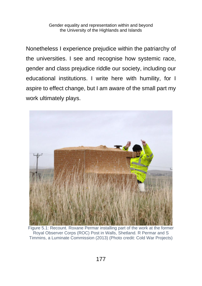Nonetheless I experience prejudice within the patriarchy of the universities. I see and recognise how systemic race, gender and class prejudice riddle our society, including our educational institutions. I write here with humility, for I aspire to effect change, but I am aware of the small part my work ultimately plays.



Figure 5.1: Recount. Roxane Permar installing part of the work at the former Royal Observer Corps (ROC) Post in Walls, Shetland. R Permar and S Timmins, a Luminate Commission (2013) (Photo credit: Cold War Projects)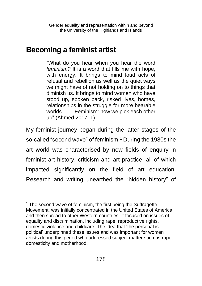#### **Becoming a feminist artist**

"What do you hear when you hear the word *feminism?* It is a word that fills me with hope, with energy. It brings to mind loud acts of refusal and rebellion as well as the quiet ways we might have of not holding on to things that diminish us. It brings to mind women who have stood up, spoken back, risked lives, homes, relationships in the struggle for more bearable worlds . . . . Feminism: how we pick each other up" (Ahmed 2017: 1)

My feminist journey began during the latter stages of the so-called "second wave" of feminism.<sup>1</sup> During the 1980s the art world was characterised by new fields of enquiry in feminist art history, criticism and art practice, all of which impacted significantly on the field of art education. Research and writing unearthed the "hidden history" of

<sup>&</sup>lt;sup>1</sup> The second wave of feminism, the first being the Suffragette Movement, was initially concentrated in the United States of America and then spread to other Western countries. It focused on issues of equality and discrimination, including rape, reproductive rights, domestic violence and childcare. The idea that 'the personal is political' underpinned these issues and was important for women artists during this period who addressed subject matter such as rape, domesticity and motherhood.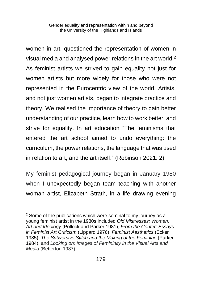women in art, questioned the representation of women in visual media and analysed power relations in the art world.<sup>2</sup> As feminist artists we strived to gain equality not just for women artists but more widely for those who were not represented in the Eurocentric view of the world. Artists, and not just women artists, began to integrate practice and theory. We realised the importance of theory to gain better understanding of our practice, learn how to work better, and strive for equality. In art education "The feminisms that entered the art school aimed to undo everything: the curriculum, the power relations, the language that was used in relation to art, and the art itself." (Robinson 2021: 2)

My feminist pedagogical journey began in January 1980 when I unexpectedly began team teaching with another woman artist, Elizabeth Strath, in a life drawing evening

<sup>&</sup>lt;sup>2</sup> Some of the publications which were seminal to my journey as a young feminist artist in the 1980s included *Old Mistresses: Women, Art and Ideology* (Pollock and Parker 1981), *From the Center: Essays in Feminist Art Criticism* (Lippard 1976), *Feminist Aesthetics* (Ecker 1985), *The Subversive Stitch and the Making of the Feminine* (Parker 1984), and *Looking on: Images of Femininity in the Visual Arts and Media* (Betterton 1987).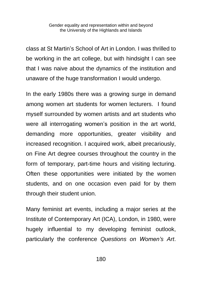class at St Martin's School of Art in London. I was thrilled to be working in the art college, but with hindsight I can see that I was naive about the dynamics of the institution and unaware of the huge transformation I would undergo.

In the early 1980s there was a growing surge in demand among women art students for women lecturers. I found myself surrounded by women artists and art students who were all interrogating women's position in the art world, demanding more opportunities, greater visibility and increased recognition. I acquired work, albeit precariously, on Fine Art degree courses throughout the country in the form of temporary, part-time hours and visiting lecturing. Often these opportunities were initiated by the women students, and on one occasion even paid for by them through their student union.

Many feminist art events, including a major series at the Institute of Contemporary Art (ICA), London, in 1980, were hugely influential to my developing feminist outlook, particularly the conference *Questions on Women's Art*.

180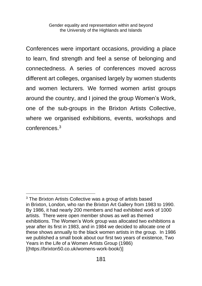Conferences were important occasions, providing a place to learn, find strength and feel a sense of belonging and connectedness. A series of conferences moved across different art colleges, organised largely by women students and women lecturers. We formed women artist groups around the country, and I joined the group Women's Work, one of the sub-groups in the Brixton Artists Collective, where we organised exhibitions, events, workshops and conferences. 3

<sup>&</sup>lt;sup>3</sup> The Brixton Artists Collective was a group of artists based in Brixton, London, who ran the Brixton Art Gallery from 1983 to 1990. By 1986, it had nearly 200 members and had exhibited work of 1000 artists. There were open member shows as well as themed exhibitions. The Women's Work group was allocated two exhibitions a year after its first in 1983, and in 1984 we decided to allocate one of these shows annually to the black women artists in the group. In 1986 we published a small book about our first two years of existence, Two Years in the Life of a Women Artists Group (1986) [(https://brixton50.co.uk/womens-work-book/)]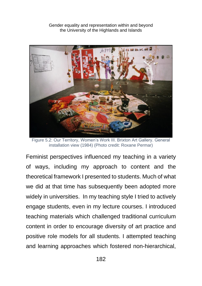

Figure 5.2: Our Territory, Women's Work III. Brixton Art Gallery. General installation view (1984) (Photo credit: Roxane Permar)

Feminist perspectives influenced my teaching in a variety of ways, including my approach to content and the theoretical framework I presented to students. Much of what we did at that time has subsequently been adopted more widely in universities. In my teaching style I tried to actively engage students, even in my lecture courses. I introduced teaching materials which challenged traditional curriculum content in order to encourage diversity of art practice and positive role models for all students. I attempted teaching and learning approaches which fostered non-hierarchical,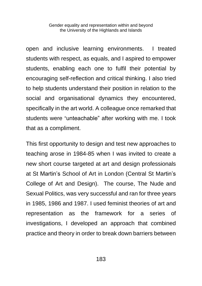open and inclusive learning environments. I treated students with respect, as equals, and I aspired to empower students, enabling each one to fulfil their potential by encouraging self-reflection and critical thinking. I also tried to help students understand their position in relation to the social and organisational dynamics they encountered, specifically in the art world. A colleague once remarked that students were "unteachable" after working with me. I took that as a compliment.

This first opportunity to design and test new approaches to teaching arose in 1984-85 when I was invited to create a new short course targeted at art and design professionals at St Martin's School of Art in London (Central St Martin's College of Art and Design). The course, The Nude and Sexual Politics, was very successful and ran for three years in 1985, 1986 and 1987. I used feminist theories of art and representation as the framework for a series of investigations, I developed an approach that combined practice and theory in order to break down barriers between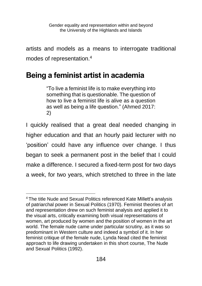artists and models as a means to interrogate traditional modes of representation.<sup>4</sup>

## **Being a feminist artist in academia**

"To live a feminist life is to make everything into something that is questionable. The question of how to live a feminist life is alive as a question as well as being a life question." (Ahmed 2017: 2)

I quickly realised that a great deal needed changing in higher education and that an hourly paid lecturer with no 'position' could have any influence over change. I thus began to seek a permanent post in the belief that I could make a difference. I secured a fixed-term post for two days a week, for two years, which stretched to three in the late

<sup>4</sup> The title Nude and Sexual Politics referenced Kate Millett's analysis of patriarchal power in Sexual Politics (1970). Feminist theories of art and representation drew on such feminist analysis and applied it to the visual arts, critically examining both visual representations of women, art produced by women and the position of women in the art world. The female nude came under particular scrutiny, as it was so predominant in Western culture and indeed a symbol of it. In her feminist critique of the female nude, Lynda Nead cited the feminist approach to life drawing undertaken in this short course, The Nude and Sexual Politics (1992).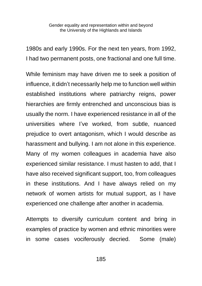1980s and early 1990s. For the next ten years, from 1992, I had two permanent posts, one fractional and one full time.

While feminism may have driven me to seek a position of influence, it didn't necessarily help me to function well within established institutions where patriarchy reigns, power hierarchies are firmly entrenched and unconscious bias is usually the norm. I have experienced resistance in all of the universities where I've worked, from subtle, nuanced prejudice to overt antagonism, which I would describe as harassment and bullying. I am not alone in this experience. Many of my women colleagues in academia have also experienced similar resistance. I must hasten to add, that I have also received significant support, too, from colleagues in these institutions. And I have always relied on my network of women artists for mutual support, as I have experienced one challenge after another in academia.

Attempts to diversify curriculum content and bring in examples of practice by women and ethnic minorities were in some cases vociferously decried. Some (male)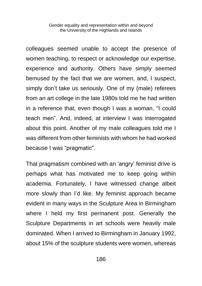colleagues seemed unable to accept the presence of women teaching, to respect or acknowledge our expertise, experience and authority. Others have simply seemed bemused by the fact that we are women, and, I suspect, simply don't take us seriously. One of my (male) referees from an art college in the late 1980s told me he had written in a reference that, even though I was a woman, "I could teach men". And, indeed, at interview I was interrogated about this point. Another of my male colleagues told me I was different from other feminists with whom he had worked because I was "pragmatic".

That pragmatism combined with an 'angry' feminist drive is perhaps what has motivated me to keep going within academia. Fortunately, I have witnessed change albeit more slowly than I'd like. My feminist approach became evident in many ways in the Sculpture Area in Birmingham where I held my first permanent post. Generally the Sculpture Departments in art schools were heavily male dominated. When I arrived to Birmingham in January 1992, about 15% of the sculpture students were women, whereas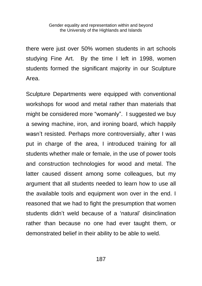there were just over 50% women students in art schools studying Fine Art. By the time I left in 1998, women students formed the significant majority in our Sculpture Area.

Sculpture Departments were equipped with conventional workshops for wood and metal rather than materials that might be considered more "womanly". I suggested we buy a sewing machine, iron, and ironing board, which happily wasn't resisted. Perhaps more controversially, after I was put in charge of the area, I introduced training for all students whether male or female, in the use of power tools and construction technologies for wood and metal. The latter caused dissent among some colleagues, but my argument that all students needed to learn how to use all the available tools and equipment won over in the end. I reasoned that we had to fight the presumption that women students didn't weld because of a 'natural' disinclination rather than because no one had ever taught them, or demonstrated belief in their ability to be able to weld.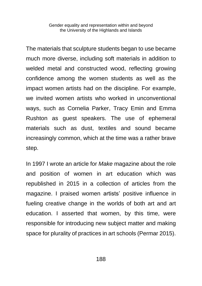The materials that sculpture students began to use became much more diverse, including soft materials in addition to welded metal and constructed wood, reflecting growing confidence among the women students as well as the impact women artists had on the discipline. For example, we invited women artists who worked in unconventional ways, such as Cornelia Parker, Tracy Emin and Emma Rushton as guest speakers. The use of ephemeral materials such as dust, textiles and sound became increasingly common, which at the time was a rather brave step.

In 1997 I wrote an article for *Make* magazine about the role and position of women in art education which was republished in 2015 in a collection of articles from the magazine. I praised women artists' positive influence in fueling creative change in the worlds of both art and art education. I asserted that women, by this time, were responsible for introducing new subject matter and making space for plurality of practices in art schools (Permar 2015).

188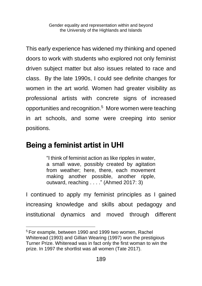This early experience has widened my thinking and opened doors to work with students who explored not only feminist driven subject matter but also issues related to race and class. By the late 1990s, I could see definite changes for women in the art world. Women had greater visibility as professional artists with concrete signs of increased opportunities and recognition.<sup>5</sup> More women were teaching in art schools, and some were creeping into senior positions.

#### **Being a feminist artist in UHI**

"I think of feminist action as like ripples in water, a small wave, possibly created by agitation from weather; here, there, each movement making another possible, another ripple, outward, reaching . . . ." (Ahmed 2017: 3)

I continued to apply my feminist principles as I gained increasing knowledge and skills about pedagogy and institutional dynamics and moved through different

<sup>5</sup> For example, between 1990 and 1999 two women, Rachel Whiteread (1993) and Gillian Wearing (1997) won the prestigious Turner Prize. Whiteread was in fact only the first woman to win the prize. In 1997 the shortlist was all women (Tate 2017).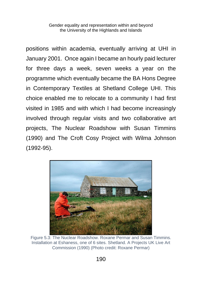positions within academia, eventually arriving at UHI in January 2001. Once again I became an hourly paid lecturer for three days a week, seven weeks a year on the programme which eventually became the BA Hons Degree in Contemporary Textiles at Shetland College UHI. This choice enabled me to relocate to a community I had first visited in 1985 and with which I had become increasingly involved through regular visits and two collaborative art projects, The Nuclear Roadshow with Susan Timmins (1990) and The Croft Cosy Project with Wilma Johnson (1992-95).



Figure 5.3: The Nuclear Roadshow. Roxane Permar and Susan Timmins. Installation at Eshaness, one of 6 sites. Shetland. A Projects UK Live Art Commission (1990) (Photo credit: Roxane Permar)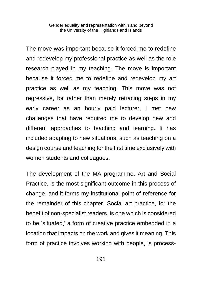The move was important because it forced me to redefine and redevelop my professional practice as well as the role research played in my teaching. The move is important because it forced me to redefine and redevelop my art practice as well as my teaching. This move was not regressive, for rather than merely retracing steps in my early career as an hourly paid lecturer, I met new challenges that have required me to develop new and different approaches to teaching and learning. It has included adapting to new situations, such as teaching on a design course and teaching for the first time exclusively with women students and colleagues.

The development of the MA programme, Art and Social Practice, is the most significant outcome in this process of change, and it forms my institutional point of reference for the remainder of this chapter. Social art practice, for the benefit of non-specialist readers, is one which is considered to be 'situated,' a form of creative practice embedded in a location that impacts on the work and gives it meaning. This form of practice involves working with people, is process-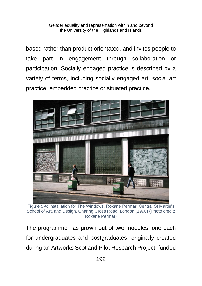based rather than product orientated, and invites people to take part in engagement through collaboration or participation. Socially engaged practice is described by a variety of terms, including socially engaged art, social art practice, embedded practice or situated practice.



Figure 5.4: Installation for The Windows. Roxane Permar. Central St Martin's School of Art, and Design, Charing Cross Road, London (1990) (Photo credit: Roxane Permar)

The programme has grown out of two modules, one each for undergraduates and postgraduates, originally created during an Artworks Scotland Pilot Research Project, funded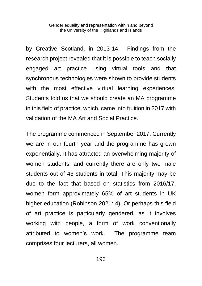by Creative Scotland, in 2013-14. Findings from the research project revealed that it is possible to teach socially engaged art practice using virtual tools and that synchronous technologies were shown to provide students with the most effective virtual learning experiences. Students told us that we should create an MA programme in this field of practice, which, came into fruition in 2017 with validation of the MA Art and Social Practice.

The programme commenced in September 2017. Currently we are in our fourth year and the programme has grown exponentially. It has attracted an overwhelming majority of women students, and currently there are only two male students out of 43 students in total. This majority may be due to the fact that based on statistics from 2016/17, women form approximately 65% of art students in UK higher education (Robinson 2021: 4). Or perhaps this field of art practice is particularly gendered, as it involves working with people, a form of work conventionally attributed to women's work. The programme team comprises four lecturers, all women.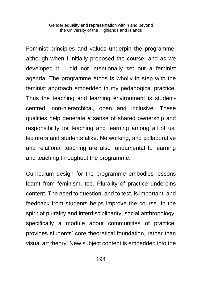Feminist principles and values underpin the programme, although when I initially proposed the course, and as we developed it, I did not intentionally set out a feminist agenda. The programme ethos is wholly in step with the feminist approach embedded in my pedagogical practice. Thus the teaching and learning environment is studentcentred, non-hierarchical, open and inclusive. These qualities help generate a sense of shared ownership and responsibility for teaching and learning among all of us, lecturers and students alike. Networking, and collaborative and relational teaching are also fundamental to learning and teaching throughout the programme.

Curriculum design for the programme embodies lessons learnt from feminism, too. Plurality of practice underpins content. The need to question, and to test, is important, and feedback from students helps improve the course. In the spirit of plurality and interdisciplinarity, social anthropology, specifically a module about communities of practice, provides students' core theoretical foundation, rather than visual art theory. New subject content is embedded into the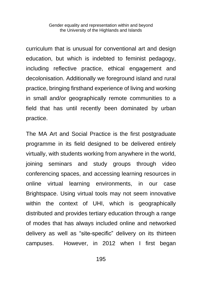curriculum that is unusual for conventional art and design education, but which is indebted to feminist pedagogy, including reflective practice, ethical engagement and decolonisation. Additionally we foreground island and rural practice, bringing firsthand experience of living and working in small and/or geographically remote communities to a field that has until recently been dominated by urban practice.

The MA Art and Social Practice is the first postgraduate programme in its field designed to be delivered entirely virtually, with students working from anywhere in the world, joining seminars and study groups through video conferencing spaces, and accessing learning resources in online virtual learning environments, in our case Brightspace. Using virtual tools may not seem innovative within the context of UHI, which is geographically distributed and provides tertiary education through a range of modes that has always included online and networked delivery as well as "site-specific" delivery on its thirteen campuses. However, in 2012 when I first began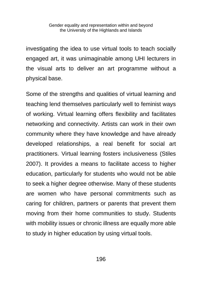investigating the idea to use virtual tools to teach socially engaged art, it was unimaginable among UHI lecturers in the visual arts to deliver an art programme without a physical base.

Some of the strengths and qualities of virtual learning and teaching lend themselves particularly well to feminist ways of working. Virtual learning offers flexibility and facilitates networking and connectivity. Artists can work in their own community where they have knowledge and have already developed relationships, a real benefit for social art practitioners. Virtual learning fosters inclusiveness (Stiles 2007). It provides a means to facilitate access to higher education, particularly for students who would not be able to seek a higher degree otherwise. Many of these students are women who have personal commitments such as caring for children, partners or parents that prevent them moving from their home communities to study. Students with mobility issues or chronic illness are equally more able to study in higher education by using virtual tools.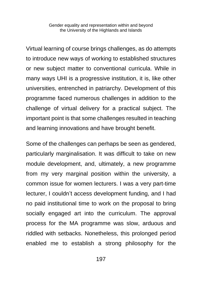Virtual learning of course brings challenges, as do attempts to introduce new ways of working to established structures or new subject matter to conventional curricula. While in many ways UHI is a progressive institution, it is, like other universities, entrenched in patriarchy. Development of this programme faced numerous challenges in addition to the challenge of virtual delivery for a practical subject. The important point is that some challenges resulted in teaching and learning innovations and have brought benefit.

Some of the challenges can perhaps be seen as gendered, particularly marginalisation. It was difficult to take on new module development, and, ultimately, a new programme from my very marginal position within the university, a common issue for women lecturers. I was a very part-time lecturer, I couldn't access development funding, and I had no paid institutional time to work on the proposal to bring socially engaged art into the curriculum. The approval process for the MA programme was slow, arduous and riddled with setbacks. Nonetheless, this prolonged period enabled me to establish a strong philosophy for the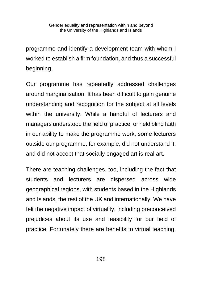programme and identify a development team with whom I worked to establish a firm foundation, and thus a successful beginning.

Our programme has repeatedly addressed challenges around marginalisation. It has been difficult to gain genuine understanding and recognition for the subject at all levels within the university. While a handful of lecturers and managers understood the field of practice, or held blind faith in our ability to make the programme work, some lecturers outside our programme, for example, did not understand it, and did not accept that socially engaged art is real art.

There are teaching challenges, too, including the fact that students and lecturers are dispersed across wide geographical regions, with students based in the Highlands and Islands, the rest of the UK and internationally. We have felt the negative impact of virtuality, including preconceived prejudices about its use and feasibility for our field of practice. Fortunately there are benefits to virtual teaching,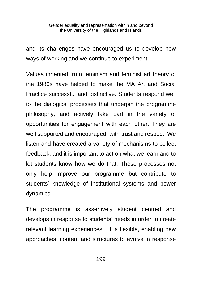and its challenges have encouraged us to develop new ways of working and we continue to experiment.

Values inherited from feminism and feminist art theory of the 1980s have helped to make the MA Art and Social Practice successful and distinctive. Students respond well to the dialogical processes that underpin the programme philosophy, and actively take part in the variety of opportunities for engagement with each other. They are well supported and encouraged, with trust and respect. We listen and have created a variety of mechanisms to collect feedback, and it is important to act on what we learn and to let students know how we do that. These processes not only help improve our programme but contribute to students' knowledge of institutional systems and power dynamics.

The programme is assertively student centred and develops in response to students' needs in order to create relevant learning experiences. It is flexible, enabling new approaches, content and structures to evolve in response

199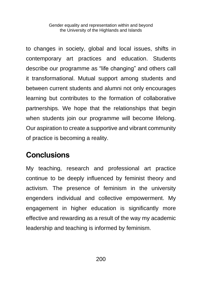to changes in society, global and local issues, shifts in contemporary art practices and education. Students describe our programme as "life changing" and others call it transformational. Mutual support among students and between current students and alumni not only encourages learning but contributes to the formation of collaborative partnerships. We hope that the relationships that begin when students join our programme will become lifelong. Our aspiration to create a supportive and vibrant community of practice is becoming a reality.

#### **Conclusions**

My teaching, research and professional art practice continue to be deeply influenced by feminist theory and activism. The presence of feminism in the university engenders individual and collective empowerment. My engagement in higher education is significantly more effective and rewarding as a result of the way my academic leadership and teaching is informed by feminism.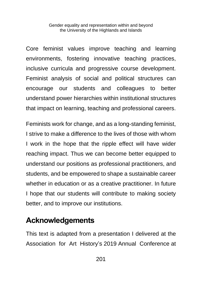Core feminist values improve teaching and learning environments, fostering innovative teaching practices, inclusive curricula and progressive course development. Feminist analysis of social and political structures can encourage our students and colleagues to better understand power hierarchies within institutional structures that impact on learning, teaching and professional careers.

Feminists work for change, and as a long-standing feminist, I strive to make a difference to the lives of those with whom I work in the hope that the ripple effect will have wider reaching impact. Thus we can become better equipped to understand our positions as professional practitioners, and students, and be empowered to shape a sustainable career whether in education or as a creative practitioner. In future I hope that our students will contribute to making society better, and to improve our institutions.

#### **Acknowledgements**

This text is adapted from a presentation I delivered at the Association for Art History's 2019 Annual Conference at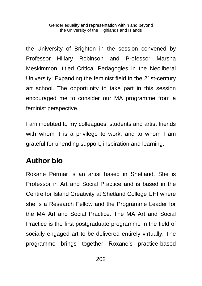the University of Brighton in the session convened by Professor Hillary Robinson and Professor Marsha Meskimmon, titled Critical Pedagogies in the Neoliberal University: Expanding the feminist field in the 21st-century art school. The opportunity to take part in this session encouraged me to consider our MA programme from a feminist perspective.

I am indebted to my colleagues, students and artist friends with whom it is a privilege to work, and to whom I am grateful for unending support, inspiration and learning.

## **Author bio**

Roxane Permar is an artist based in Shetland. She is Professor in Art and Social Practice and is based in the Centre for Island Creativity at Shetland College UHI where she is a Research Fellow and the Programme Leader for the MA Art and Social Practice. The MA Art and Social Practice is the first postgraduate programme in the field of socially engaged art to be delivered entirely virtually. The programme brings together Roxane's practice-based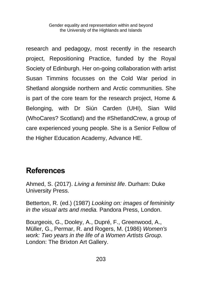research and pedagogy, most recently in the research project, Repositioning Practice, funded by the Royal Society of Edinburgh. Her on-going collaboration with artist Susan Timmins focusses on the Cold War period in Shetland alongside northern and Arctic communities. She is part of the core team for the research project, Home & Belonging, with Dr Siún Carden (UHI), Sian Wild (WhoCares? Scotland) and the #ShetlandCrew, a group of care experienced young people. She is a Senior Fellow of the Higher Education Academy, Advance HE.

#### **References**

Ahmed, S. (2017). *Living a feminist life*. Durham: Duke University Press.

Betterton, R. (ed.) (1987) *Looking on: images of femininity in the visual arts and media.* Pandora Press, London.

Bourgeois, G., Dooley, A., Dupré, F., Greenwood, A., Müller, G., Permar, R. and Rogers, M. (1986) *Women's work: Two years in the life of a Women Artists Group*. London: The Brixton Art Gallery.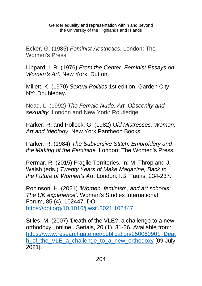Ecker, G. (1985) *Feminist Aesthetics*. London: The Women's Press.

Lippard, L.R. (1976) *From the Center: Feminist Essays on Women*'*s Art.* New York: Dutton.

Millett, K. (1970) *Sexual Politics* 1st edition. Garden City NY: Doubleday.

Nead, L. (1992) *The Female Nude: Art, Obscenity and sexuality*. London and New York: Routledge.

Parker, R. and Pollock, G. (1982) *Old Mistresses: Women, Art and Ideology*. New York Pantheon Books.

Parker, R. (1984) *The Subversive Stitch: Embroidery and the Making of the Feminine.* London: The Women's Press.

Permar, R. (2015) Fragile Territories. In: M. Throp and J. Walsh (eds.) *Twenty Years of Make Magazine, Back to the Future of Women's Art*. London: I.B. Tauris, 234-237.

Robinson, H. (2021) *'Women, feminism, and art schools: The UK experience'*. Women's Studies International Forum, 85 (4), 102447. DOI <https://doi.org/10.1016/j.wsif.2021.102447>

Stiles, M. (2007) 'Death of the VLE?: a challenge to a new orthodoxy' [online]. Serials, 20 (1), 31-36. Available from: [https://www.researchgate.net/publication/250060901\\_Deat](https://www.researchgate.net/publication/250060901_Death_of_the_VLE_a_challenge_to_a_new_orthodoxy) [h\\_of\\_the\\_VLE\\_a\\_challenge\\_to\\_a\\_new\\_orthodoxy](https://www.researchgate.net/publication/250060901_Death_of_the_VLE_a_challenge_to_a_new_orthodoxy) [09 July 2021].